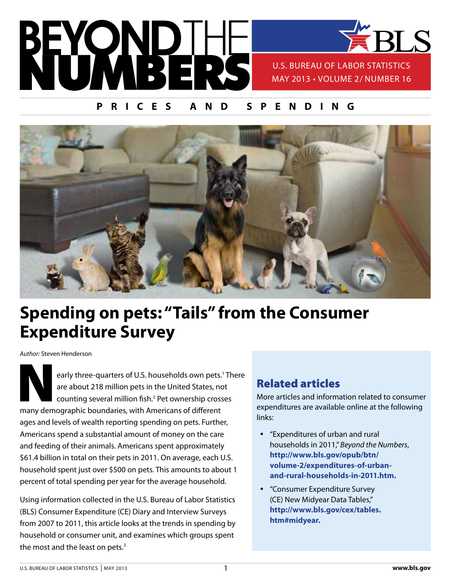

## **prices and spending**



# **Spending on pets: "Tails" from the Consumer Expenditure Survey**

*Author:* Steven Henderson

early three-quarters of U.S. households own pets.<sup>1</sup> There are about 218 million pets in the United States, not counting several million fish.<sup>2</sup> Pet ownership crosses many demographic boundaries, with Americans of different ages and levels of wealth reporting spending on pets. Further, Americans spend a substantial amount of money on the care and feeding of their animals. Americans spent approximately \$61.4 billion in total on their pets in 2011. On average, each U.S. household spent just over \$500 on pets. This amounts to about 1 percent of total spending per year for the average household.

Using information collected in the U.S. Bureau of Labor Statistics (BLS) Consumer Expenditure (CE) Diary and Interview Surveys from 2007 to 2011, this article looks at the trends in spending by household or consumer unit, and examines which groups spent the most and the least on pets.<sup>3</sup>

## Related articles

More articles and information related to consumer expenditures are available online at the following links:

- y "Expenditures of urban and rural households in 2011," *Beyond the Numbers*, **[http://www.bls.gov/opub/btn/](http://www.bls.gov/opub/btn/volume-2/expenditures-of-urban-and-rural-households-in-2011.htm)  [volume-2/expenditures-of-urban](http://www.bls.gov/opub/btn/volume-2/expenditures-of-urban-and-rural-households-in-2011.htm)[and-rural-households-in-2011.htm](http://www.bls.gov/opub/btn/volume-2/expenditures-of-urban-and-rural-households-in-2011.htm).**
- "Consumer Expenditure Survey (CE) New Midyear Data Tables," **[http://www.bls.gov/cex/tables.](http://www.bls.gov/cex/tables.
htm#midyear) [htm#midyear](http://www.bls.gov/cex/tables.
htm#midyear).**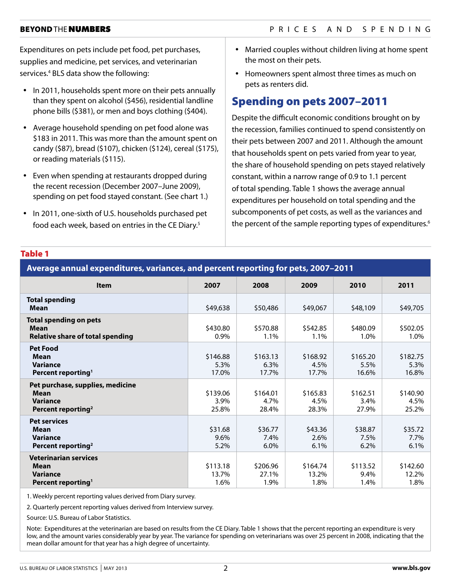Expenditures on pets include pet food, pet purchases, supplies and medicine, pet services, and veterinarian services.4 BLS data show the following:

- In 2011, households spent more on their pets annually than they spent on alcohol (\$456), residential landline phone bills (\$381), or men and boys clothing (\$404).
- Average household spending on pet food alone was \$183 in 2011. This was more than the amount spent on candy (\$87), bread (\$107), chicken (\$124), cereal (\$175), or reading materials (\$115).
- Even when spending at restaurants dropped during the recent recession (December 2007–June 2009), spending on pet food stayed constant. (See chart 1.)
- In 2011, one-sixth of U.S. households purchased pet food each week, based on entries in the CE Diary.<sup>5</sup>
- Married couples without children living at home spent the most on their pets.
- Homeowners spent almost three times as much on pets as renters did.

## Spending on pets 2007–2011

Despite the difficult economic conditions brought on by the recession, families continued to spend consistently on their pets between 2007 and 2011. Although the amount that households spent on pets varied from year to year, the share of household spending on pets stayed relatively constant, within a narrow range of 0.9 to 1.1 percent of total spending. Table 1 shows the average annual expenditures per household on total spending and the subcomponents of pet costs, as well as the variances and the percent of the sample reporting types of expenditures.<sup>6</sup>

#### Table 1

| Average annual expenditures, variances, and percent reporting for pets, 2007-2011                |                           |                           |                           |                           |                           |
|--------------------------------------------------------------------------------------------------|---------------------------|---------------------------|---------------------------|---------------------------|---------------------------|
| Item                                                                                             | 2007                      | 2008                      | 2009                      | 2010                      | 2011                      |
| <b>Total spending</b><br>Mean                                                                    | \$49,638                  | \$50,486                  | \$49,067                  | \$48,109                  | \$49,705                  |
| <b>Total spending on pets</b><br><b>Mean</b><br><b>Relative share of total spending</b>          | \$430.80<br>0.9%          | \$570.88<br>1.1%          | \$542.85<br>1.1%          | \$480.09<br>1.0%          | \$502.05<br>1.0%          |
| <b>Pet Food</b><br>Mean<br><b>Variance</b><br>Percent reporting <sup>1</sup>                     | \$146.88<br>5.3%<br>17.0% | \$163.13<br>6.3%<br>17.7% | \$168.92<br>4.5%<br>17.7% | \$165.20<br>5.5%<br>16.6% | \$182.75<br>5.3%<br>16.8% |
| Pet purchase, supplies, medicine<br>Mean<br><b>Variance</b><br>Percent reporting <sup>2</sup>    | \$139.06<br>3.9%<br>25.8% | \$164.01<br>4.7%<br>28.4% | \$165.83<br>4.5%<br>28.3% | \$162.51<br>3.4%<br>27.9% | \$140.90<br>4.5%<br>25.2% |
| <b>Pet services</b><br><b>Mean</b><br><b>Variance</b><br>Percent reporting <sup>2</sup>          | \$31.68<br>9.6%<br>5.2%   | \$36.77<br>7.4%<br>6.0%   | \$43.36<br>2.6%<br>6.1%   | \$38.87<br>7.5%<br>6.2%   | \$35.72<br>7.7%<br>6.1%   |
| <b>Veterinarian services</b><br><b>Mean</b><br><b>Variance</b><br>Percent reporting <sup>1</sup> | \$113.18<br>13.7%<br>1.6% | \$206.96<br>27.1%<br>1.9% | \$164.74<br>13.2%<br>1.8% | \$113.52<br>9.4%<br>1.4%  | \$142.60<br>12.2%<br>1.8% |

1. Weekly percent reporting values derived from Diary survey.

2. Quarterly percent reporting values derived from Interview survey.

Source: U.S. Bureau of Labor Statistics.

Note: Expenditures at the veterinarian are based on results from the CE Diary. Table 1 shows that the percent reporting an expenditure is very low, and the amount varies considerably year by year. The variance for spending on veterinarians was over 25 percent in 2008, indicating that the mean dollar amount for that year has a high degree of uncertainty.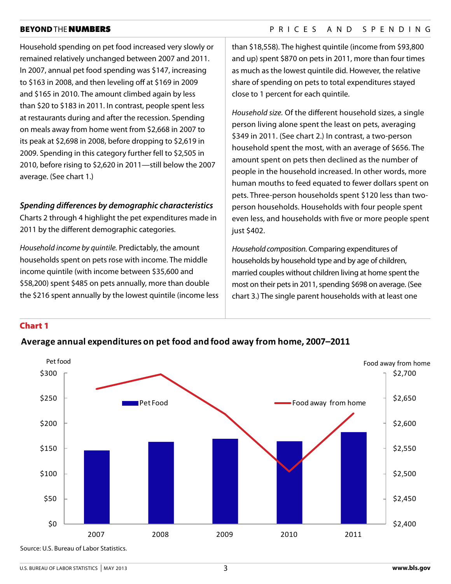## BEYOND THE NUMBERS PRICES AND SPENDING

Household spending on pet food increased very slowly or remained relatively unchanged between 2007 and 2011. In 2007, annual pet food spending was \$147, increasing to \$163 in 2008, and then leveling off at \$169 in 2009 and \$165 in 2010. The amount climbed again by less than \$20 to \$183 in 2011. In contrast, people spent less at restaurants during and after the recession. Spending on meals away from home went from \$2,668 in 2007 to its peak at \$2,698 in 2008, before dropping to \$2,619 in 2009. Spending in this category further fell to \$2,505 in 2010, before rising to \$2,620 in 2011—still below the 2007 average. (See chart 1.)

## *Spending differences by demographic characteristics*

Charts 2 through 4 highlight the pet expenditures made in 2011 by the different demographic categories.

*Household income by quintile.* Predictably, the amount households spent on pets rose with income. The middle income quintile (with income between \$35,600 and \$58,200) spent \$485 on pets annually, more than double the \$216 spent annually by the lowest quintile (income less than \$18,558). The highest quintile (income from \$93,800 and up) spent \$870 on pets in 2011, more than four times as much as the lowest quintile did. However, the relative share of spending on pets to total expenditures stayed close to 1 percent for each quintile.

*Household size.* Of the different household sizes, a single person living alone spent the least on pets, averaging \$349 in 2011. (See chart 2.) In contrast, a two-person household spent the most, with an average of \$656. The amount spent on pets then declined as the number of people in the household increased. In other words, more human mouths to feed equated to fewer dollars spent on pets. Three-person households spent \$120 less than twoperson households. Households with four people spent even less, and households with five or more people spent just \$402.

*Household composition.* Comparing expenditures of households by household type and by age of children, married couples without children living at home spent the most on their pets in 2011, spending \$698 on average. (See chart 3.) The single parent households with at least one

## Chart 1



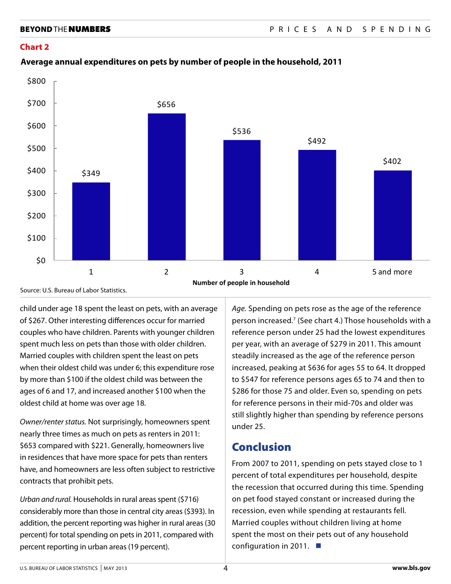#### Chart 2



## **Average annual expenditures on pets by number of people in the household, 2011 Average annual expenditures on pets by number of people in the household, 2011**

Source: U.S. Bureau of Labor Statistics.

child under age 18 spent the least on pets, with an average of \$267. Other interesting differences occur for married couples who have children. Parents with younger children spent much less on pets than those with older children. Married couples with children spent the least on pets when their oldest child was under 6; this expenditure rose by more than \$100 if the oldest child was between the ages of 6 and 17, and increased another \$100 when the oldest child at home was over age 18.

*Owner/renter status.* Not surprisingly, homeowners spent nearly three times as much on pets as renters in 2011: \$653 compared with \$221. Generally, homeowners live in residences that have more space for pets than renters have, and homeowners are less often subject to restrictive contracts that prohibit pets.

*Urban and rural.* Households in rural areas spent (\$716) considerably more than those in central city areas (\$393). In addition, the percent reporting was higher in rural areas (30 percent) for total spending on pets in 2011, compared with percent reporting in urban areas (19 percent).

*Age.* Spending on pets rose as the age of the reference person increased.<sup>7</sup> (See chart 4.) Those households with a reference person under 25 had the lowest expenditures per year, with an average of \$279 in 2011. This amount steadily increased as the age of the reference person increased, peaking at \$636 for ages 55 to 64. It dropped to \$547 for reference persons ages 65 to 74 and then to \$286 for those 75 and older. Even so, spending on pets for reference persons in their mid-70s and older was still slightly higher than spending by reference persons under 25.

## Conclusion

From 2007 to 2011, spending on pets stayed close to 1 percent of total expenditures per household, despite the recession that occurred during this time. Spending on pet food stayed constant or increased during the recession, even while spending at restaurants fell. Married couples without children living at home spent the most on their pets out of any household configuration in 2011.  $\blacksquare$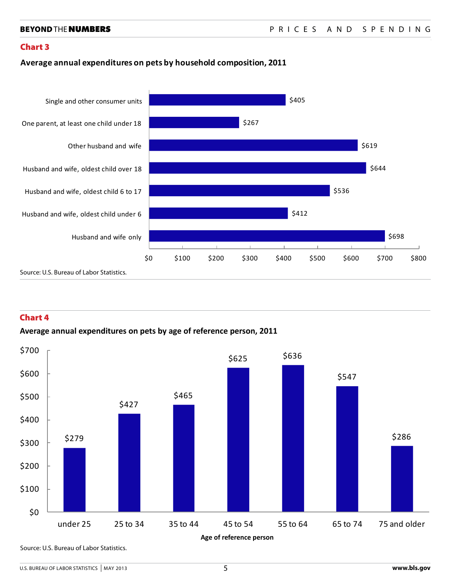### Chart 3

### **Average annual expenditures on pets by household composition, 2011**



### Chart 4

### **Average annual expenditures on pets by age of reference person, 2011**



Source: U.S. Bureau of Labor Statistics.